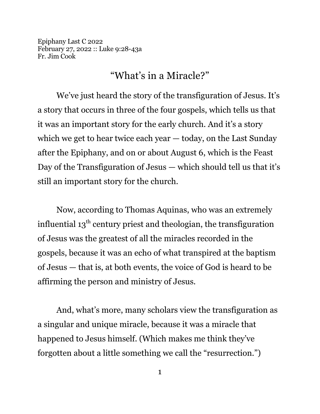Epiphany Last C 2022 February 27, 2022 :: Luke 9:28-43a Fr. Jim Cook

## "What's in a Miracle?"

We've just heard the story of the transfiguration of Jesus. It's a story that occurs in three of the four gospels, which tells us that it was an important story for the early church. And it's a story which we get to hear twice each year — today, on the Last Sunday after the Epiphany, and on or about August 6, which is the Feast Day of the Transfiguration of Jesus — which should tell us that it's still an important story for the church.

Now, according to Thomas Aquinas, who was an extremely influential 13 $^{\rm th}$  century priest and theologian, the transfiguration of Jesus was the greatest of all the miracles recorded in the gospels, because it was an echo of what transpired at the baptism of Jesus — that is, at both events, the voice of God is heard to be affirming the person and ministry of Jesus.

And, what's more, many scholars view the transfiguration as a singular and unique miracle, because it was a miracle that happened to Jesus himself. (Which makes me think they've forgotten about a little something we call the "resurrection.")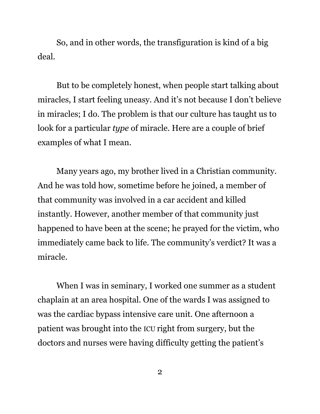So, and in other words, the transfiguration is kind of a big deal.

But to be completely honest, when people start talking about miracles, I start feeling uneasy. And it's not because I don't believe in miracles; I do. The problem is that our culture has taught us to look for a particular *type* of miracle. Here are a couple of brief examples of what I mean.

Many years ago, my brother lived in a Christian community. And he was told how, sometime before he joined, a member of that community was involved in a car accident and killed instantly. However, another member of that community just happened to have been at the scene; he prayed for the victim, who immediately came back to life. The community's verdict? It was a miracle.

When I was in seminary, I worked one summer as a student chaplain at an area hospital. One of the wards I was assigned to was the cardiac bypass intensive care unit. One afternoon a patient was brought into the ICU right from surgery, but the doctors and nurses were having difficulty getting the patient's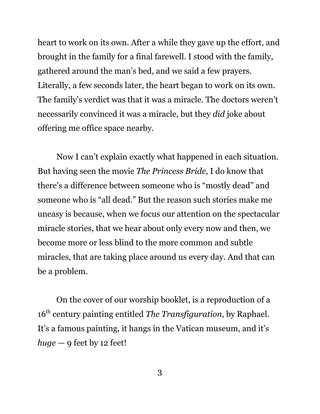heart to work on its own. After a while they gave up the effort, and brought in the family for a final farewell. I stood with the family, gathered around the man's bed, and we said a few prayers. Literally, a few seconds later, the heart began to work on its own. The family's verdict was that it was a miracle. The doctors weren't necessarily convinced it was a miracle, but they *did* joke about offering me office space nearby.

Now I can't explain exactly what happened in each situation. But having seen the movie *The Princess Bride*, I do know that there's a difference between someone who is "mostly dead" and someone who is "all dead." But the reason such stories make me uneasy is because, when we focus our attention on the spectacular miracle stories, that we hear about only every now and then, we become more or less blind to the more common and subtle miracles, that are taking place around us every day. And that can be a problem.

On the cover of our worship booklet, is a reproduction of a 16th century painting entitled *The Transfiguration*, by Raphael. It's a famous painting, it hangs in the Vatican museum, and it's  $huge - 9$  feet by 12 feet!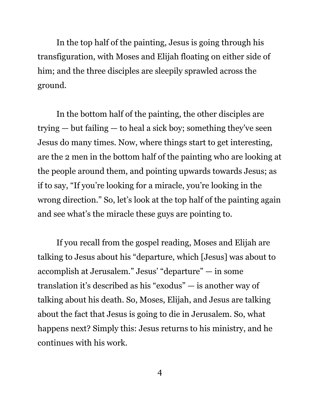In the top half of the painting, Jesus is going through his transfiguration, with Moses and Elijah floating on either side of him; and the three disciples are sleepily sprawled across the ground.

In the bottom half of the painting, the other disciples are trying — but failing — to heal a sick boy; something they've seen Jesus do many times. Now, where things start to get interesting, are the 2 men in the bottom half of the painting who are looking at the people around them, and pointing upwards towards Jesus; as if to say, "If you're looking for a miracle, you're looking in the wrong direction." So, let's look at the top half of the painting again and see what's the miracle these guys are pointing to.

If you recall from the gospel reading, Moses and Elijah are talking to Jesus about his "departure, which [Jesus] was about to accomplish at Jerusalem." Jesus' "departure" — in some translation it's described as his "exodus" — is another way of talking about his death. So, Moses, Elijah, and Jesus are talking about the fact that Jesus is going to die in Jerusalem. So, what happens next? Simply this: Jesus returns to his ministry, and he continues with his work.

4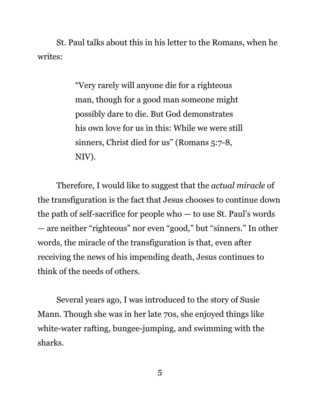St. Paul talks about this in his letter to the Romans, when he writes:

> "Very rarely will anyone die for a righteous man, though for a good man someone might possibly dare to die. But God demonstrates his own love for us in this: While we were still sinners, Christ died for us" (Romans 5:7-8, NIV).

Therefore, I would like to suggest that the *actual miracle* of the transfiguration is the fact that Jesus chooses to continue down the path of self-sacrifice for people who — to use St. Paul's words — are neither "righteous" nor even "good," but "sinners." In other words, the miracle of the transfiguration is that, even after receiving the news of his impending death, Jesus continues to think of the needs of others.

Several years ago, I was introduced to the story of Susie Mann. Though she was in her late 70s, she enjoyed things like white-water rafting, bungee-jumping, and swimming with the sharks.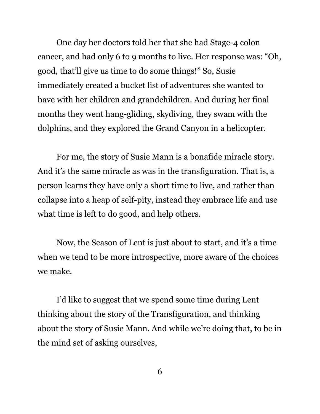One day her doctors told her that she had Stage-4 colon cancer, and had only 6 to 9 months to live. Her response was: "Oh, good, that'll give us time to do some things!" So, Susie immediately created a bucket list of adventures she wanted to have with her children and grandchildren. And during her final months they went hang-gliding, skydiving, they swam with the dolphins, and they explored the Grand Canyon in a helicopter.

For me, the story of Susie Mann is a bonafide miracle story. And it's the same miracle as was in the transfiguration. That is, a person learns they have only a short time to live, and rather than collapse into a heap of self-pity, instead they embrace life and use what time is left to do good, and help others.

Now, the Season of Lent is just about to start, and it's a time when we tend to be more introspective, more aware of the choices we make.

I'd like to suggest that we spend some time during Lent thinking about the story of the Transfiguration, and thinking about the story of Susie Mann. And while we're doing that, to be in the mind set of asking ourselves,

6